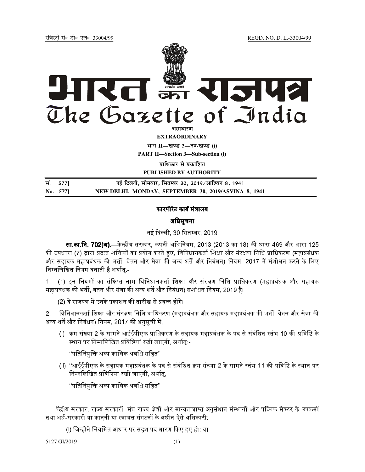REGD. NO. D. L.-33004/99

रजिस्टी सं० डी० एल०-33004/99



**EXTRAORDINARY** 

भाग II-खण्ड 3-उप-खण्ड (i)

**PART II-Section 3-Sub-section (i)** 

पाधिकार से पकाशित

PUBLISHED BY AUTHORITY

| सं. 577] | नई दिल्ली, सोमवार, सितम्बर 30, 2019∕आश्विन 8, 1941   |
|----------|------------------------------------------------------|
| No. 577  | NEW DELHI, MONDAY, SEPTEMBER 30, 2019/ASVINA 8, 1941 |

## कारपोरेट कार्य मंत्रालय

# अधिसूचना

## नई दिल्ली, 30 सितम्बर, 2019

**सा.का.नि. 702(ब).**—केन्द्रीय सरकार, कंपनी अधिनियम, 2013 (2013 का 18) की धारा 469 और धारा 125 की उपधारा (7) द्वारा प्रदत्त शक्तियों का प्रयोग करते हुए, विनिधानकर्ता शिक्षा और संरक्षण निधि प्राधिकरण (महाप्रबंधक और सहायक महाप्रबंधक की भर्ती, वेतन और सेवा की अन्य शर्तें और निबंधन) नियम, 2017 में संशोधन करने के लिए निम्नलिखित नियम बनाती है अर्थात:-

1. (1) इन नियमों का संक्षिप्त नाम विनिधानकर्ता शिक्षा और संरक्षण निधि प्राधिकरण (महाप्रबंधक और सहायक महाप्रबंधक की भर्ती, वेतन और सेवा की अन्य शर्तें और निबंधन) संशोधन नियम, 2019 है।

(2) ये राजपत्र में उनके प्रकाशन की तारीख से प्रवृत्त होंगे।

विनिधानकर्ता शिक्षा और संरक्षण निधि प्राधिकरण (महाप्रबंधक और सहायक महाप्रबंधक की भर्ती, वेतन और सेवा की  $2<sup>1</sup>$ अन्य शर्तें और निबंधन) नियम, 2017 की अनुसृची में,

(i) क्रम संख्या 2 के सामने आईईपीएफ प्राधिकरण के सहायक महाप्रबंधक के पद से संबंधित स्तंभ 10 की प्रविष्टि के स्थान पर निम्नलिखित प्रविष्टियां रखी जाएगी, अर्थातु:-

''प्रतिनियुक्ति अल्प कालिक अवधि सहित''

(ii) ''आईईपीएफ के सहायक महाप्रबंधक के पद से संबंधित क्रम संख्या 2 के सामने स्तंभ 11 की प्रविष्टि के स्थान पर निम्नलिखित प्रविष्टियां रखी जाएगी, अर्थात्,

''प्रतिनियुक्ति अल्प कालिक अवधि सहित''

केंद्रीय सरकार, राज्य सरकारों, संघ राज्य क्षेत्रों और मान्यताप्राप्त अनुसंधान संस्थानों और पब्लिक सेक्टर के उपक्रमों तथा अर्ध-सरकारी या कानृनी या स्वायत्त संगठनों के अधीन ऐसे अधिकारी∶

(i) जिन्होंने नियमित आधार पर सदश पद धारण किए हए हो; या

5127 GI/2019